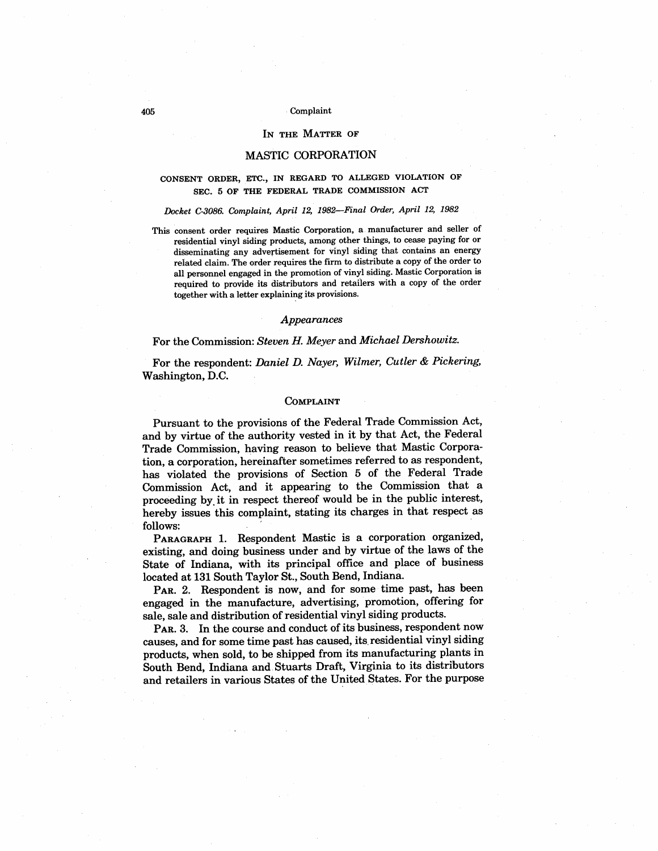#### IN THE MATTER OF

## MASTIC CORPORATION

# CONSENT ORDER, ETC. , IN REGARD TO ALLEGED VIOLATION OF SEC. 5 OF THE FEDERAL TRADE COMMISSION ACT

# Docket C-3086. Complaint, April 12, 1982-Final Order, April 12, 1982

This consent order requires Mastic Corporation , a manufacturer and seller of residential vinyl siding products, among other things, to cease paying for or disseminating any advertisement for vinyl siding that contains an energy related claim. The order requires the firm to distribute a copy of the order to all personnel engaged in the promotion of vinyl siding. Mastic Corporation is required to provide its distributors and retailers with a copy of the order together with a letter explaining its provisions.

#### Appearances

# For the Commission: Steven H. Meyer and Michael Dershowitz.

For the respondent: Daniel D. Nayer, Wilmer, Cutler & Pickering, Washington, D.

## COMPLAINT

Pursuant to the provisions of the Federal Trade Commission Act and by virtue of the authority vested in it by that Act, the Federal Trade Commission, having reason to believe that Mastic Corporation, a corporation, hereinafter sometimes referred to as respondent has violated the provisions of Section 5 of the Federal Trade Commission Act, and it appearing to the Commission that a proceeding by. it in respect thereof would be in the public interest hereby issues this complaint, stating its charges in that respect as follows:

PARAGRAPH 1. Respondent Mastic is a corporation organized, existing, and doing business under and by virtue of the laws of the State of Indiana, with its principal office and place of business located at 131 South Taylor St. , South Bend, Indiana.

PAR. 2. Respondent is now, and for some time past, has been engaged in the manufacture, advertising, promotion, offering for sale, sale and distribution of residential vinyl siding products.

PAR. 3. In the course and conduct of its business, respondent now causes, and for some time past has caused, its residential vinyl siding products, when sold, to be shipped from its manufacturing plants in South Bend, Indiana and Stuarts Draft, Virginia to its distributors and retailers in various States of the United States. For the purpose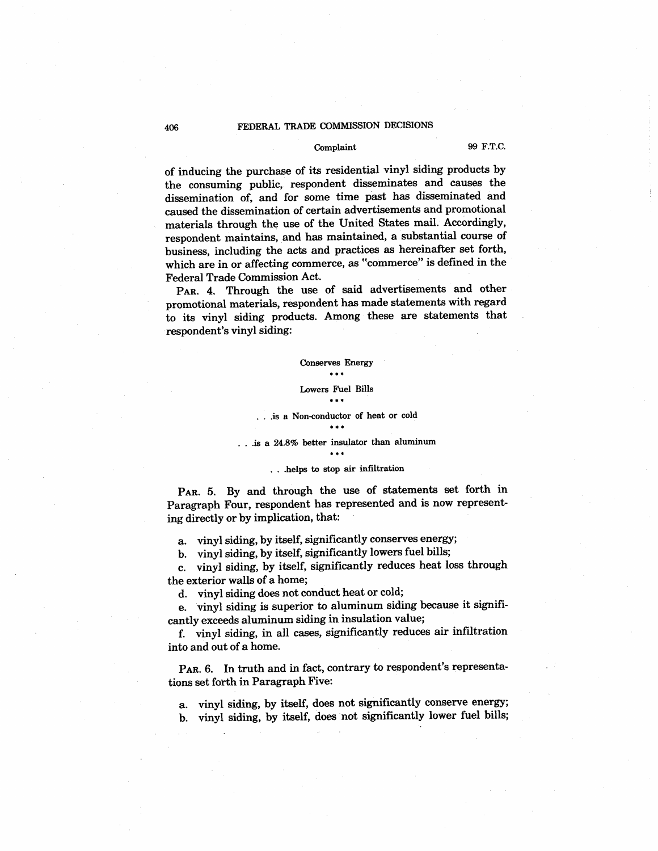# Complaint 99 F.T.C.

of inducing the purchase of its residential vinyl siding products by the consuming public, respondent disseminates and causes the dissemination of, and for some time past has disseminated and caused the dissemination of certain advertisements and promotional materials through the use of the United States mail. Accordingly, respondent maintains, and has maintained, a substantial course of business, including the acts and practices as hereinafter set forth which are in or affecting commerce, as "commerce" is defined in the Federal Trade Commission Act.

PAR. 4. Through the use of said advertisements and other promotional materials, respondent has made statements with regard to its vinyl siding products. Among these are statements that respondent's vinyl siding:

#### Conserves Energy  $...$

# Lowers Fuel Bils

# .is a Non-conductor of heat or cold

#### is a 24.8% better insulator than aluminum  $...$

#### ... helps to stop air infiltration

PAR. 5. By and through the use of statements set forth in Paragraph Four, respondent has represented and is now representing directly or by implication, that:

a. vinyl siding, by itself, significantly conserves energy;

b. vinyl siding, by itself, significantly lowers fuel bils;

c. vinyl siding, by itself, significantly reduces heat loss through the exterior walls of a home;

d. vinyl siding does not conduct heat or cold;

e. vinyl siding is superior to aluminum siding because it significantly exceeds aluminum siding in insulation value;

f. vinyl siding, in all cases, significantly reduces air infitration into and out of a home.

PAR. 6. In truth and in fact, contrary to respondent's representations set forth in Paragraph Five:

a. vinyl siding, by itself, does not significantly conserve energy; b. vinyl siding, by itself, does not significantly lower fuel bils;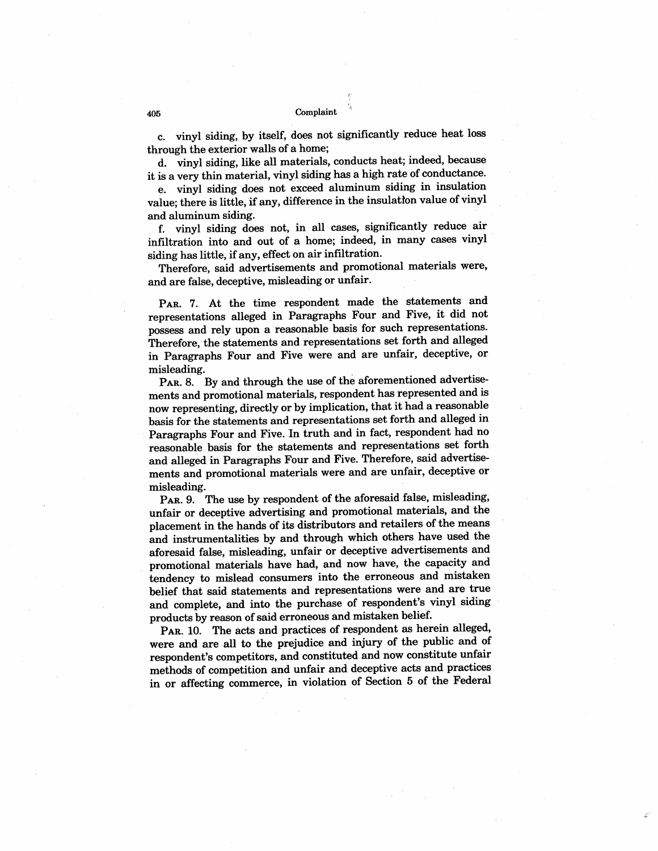c. vinyl siding, by itself, does not significantly reduce heat loss through the exterior walls of a home;

d. vinyl siding, like all materials, conducts heat; indeed, because it is a very thin material, vinyl siding has a high rate of conductance.

e. vinyl siding does not exceed aluminum siding in insulation value; there is little, if any, difference in the insulation value of vinyl and aluminum siding.

f. vinyl siding does not, in all cases, significantly reduce air infitration into and out of a home; indeed, in many cases vinyl siding has little, if any, effect on air infitration.

Therefore, said advertisements and promotional materials were and are false, deceptive, misleading or unfair.

PAR. 7. At the time respondent made the statements and representations alleged in Paragraphs Four and Five, it did not possess and rely upon a reasonable basis for such representations. Therefore, the statements and representations set forth and alleged in Paragraphs Four and Five were and are unfair, deceptive, or misleading.

PAR. 8. By and through the use of the aforementioned advertisements and promotional materials, respondent has represented and is now representing, directly or by implication, that it had a reasonable basis for the statements and representations set forth and alleged in Paragraphs Four and Five. In truth and in fact, respondent had no reasonable basis for the statements and representations set forth and alleged in Paragraphs Four and Five. Therefore, said advertisements and promotional materials were and are unfair, deceptive or misleading.

PAR. 9. The use by respondent of the aforesaid false, misleading, unfair or deceptive advertising and promotional materials, and the placement in the hands of its distributors and retailers of the means and instrumentalities by and through which others have used the aforesaid false, misleading, unfair or deceptive advertisements and promotional materials have had, and now have, the capacity and tendency to mislead consumers into the erroneous and mistaken belief that said statements and representations were and are true and complete, and into the purchase of respondent's vinyl siding products by reason of said erroneous and mistaken belief.

PAR. 10. The acts and practices of respondent as herein alleged, were and are all to the prejudice and injury of the public and of respondent's competitors, and constituted and now constitute unfair methods of competition and unfair and deceptive acts and practices in or affecting commerce, in violation of Section 5 of the Federal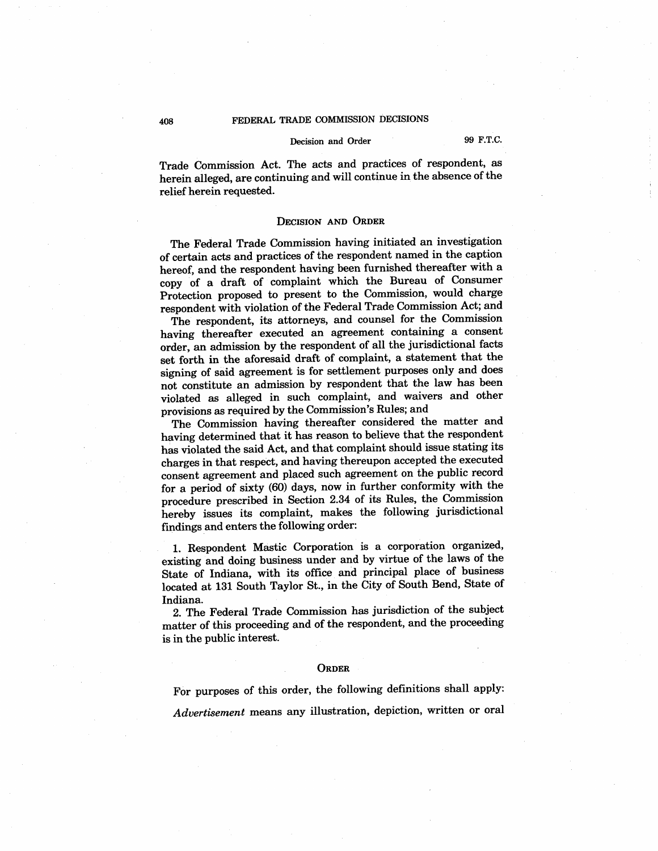# Decision and Order 99 F.T.C.

Trade Commission Act. The acts and practices of respondent, as herein alleged, are continuing and will continue in the absence of the relief herein requested.

#### DECISION AND ORDER

The Federal Trade Commission having initiated an investigation of certain acts and practices of the respondent named in the caption hereof, and the respondent having been furnished thereafter with a copy of a draft of complaint which the Bureau of Consumer Protection proposed to present to the Commission, would charge respondent with violation of the Federal Trade Commission Act; and

The respondent, its attorneys, and counsel for the Commission having thereafter executed an agreement containing a consent order, an admission by the respondent of all the jurisdictional facts set forth in the aforesaid draft of complaint, a statement that the signing of said agreement is for settlement purposes only and does not constitute an admission by respondent that the law has been violated as alleged in such complaint, and waivers and other provisions as required by the Commission's Rules; and

The Commission having thereafter considered the matter and having determined that it has reason to believe that the respondent has violated the said Act, and that complaint should issue stating its charges in that respect, and having thereupon accepted the executed consent agreement and placed such agreement on the public record for a period of sixty (60) days, now in further conformity with the procedure prescribed in Section 2.34 of its Rules, the Commission hereby issues its complaint, makes the following jurisdictional findings and enters the following order:

1. Respondent Mastic Corporation is a corporation organized existing and doing business under and by virtue of the laws of the State of Indiana, with its office and principal place of business located at 131 South Taylor St., in the City of South Bend, State of Indiana.

2. The Federal Trade Commission has jurisdiction of the subject matter of this proceeding and of the respondent, and the proceeding is in the public interest.

#### **ORDER**

For purposes of this order, the following definitions shall apply:

Advertisement means any ilustration, depiction, written or oral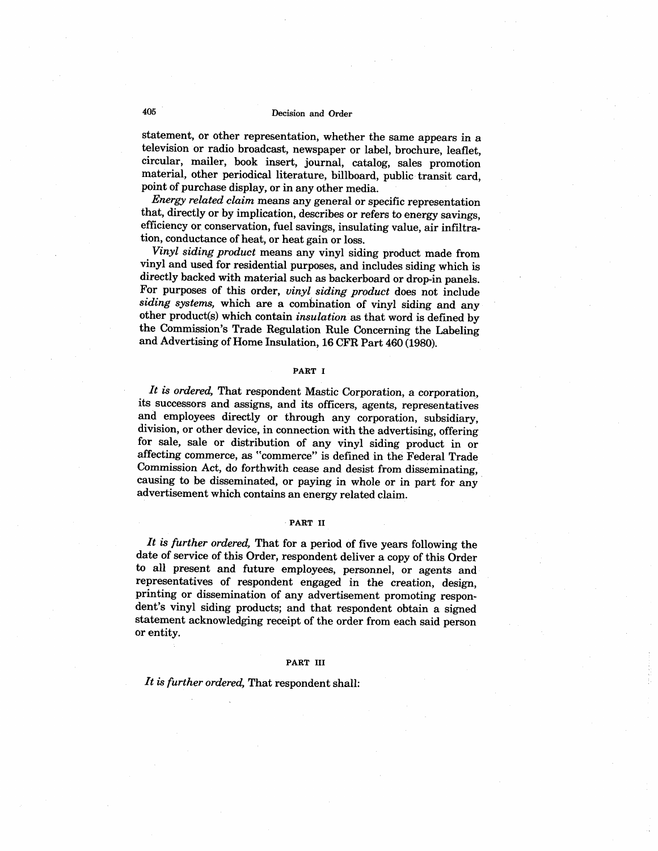# 405 Decision and Order

statement, or other representation, whether the same appears in a television or radio broadcast, newspaper or label, brochure, leaflet circular, mailer, book insert, journal, catalog, sales promotion material, other periodical literature, billboard, public transit card point of purchase display, or in any other media.

Energy related claim means any general or specific representation that, directly or by implication, describes or refers to energy savings efficiency or conservation, fuel savings, insulating value, air infiltration, conductance of heat, or heat gain or loss.

Vinyl siding product means any vinyl siding product made from vinyl and used for residential purposes, and includes siding which is directly backed with material such as backerboard or drop-in panels. For purposes of this order, vinyl siding product does not include siding systems, which are a combination of vinyl siding and any other product(s) which contain insulation as that word is defined by the Commission's Trade Regulation Rule Concerning the Labeling and Advertising of Home Insulation, 16 CFR Part 460 (1980).

#### PART I

It is ordered, That respondent Mastic Corporation, a corporation, its successors and assigns, and its officers, agents, representatives and employees directly or through any corporation, subsidiary, division, or other device, in connection with the advertising, offering for sale, sale or distribution of any vinyl siding product in or affecting commerce, as "commerce" is defined in the Federal Trade Commission Act, do forthwith cease and desist from disseminating, causing to be disseminated, or paying in whole or in part for any advertisement which contains an energy related claim.

## PART II

It is further ordered, That for a period of five years following the date of service of this Order, respondent deliver a copy of this Order to all present and future employees, personnel, or agents and representatives of respondent engaged in the creation, design, printing or dissemination of any advertisement promoting respondent's vinyl siding products; and that respondent obtain a signed statement acknowledging receipt of the order from each said person or entity.

## PART III

It is further ordered, That respondent shall: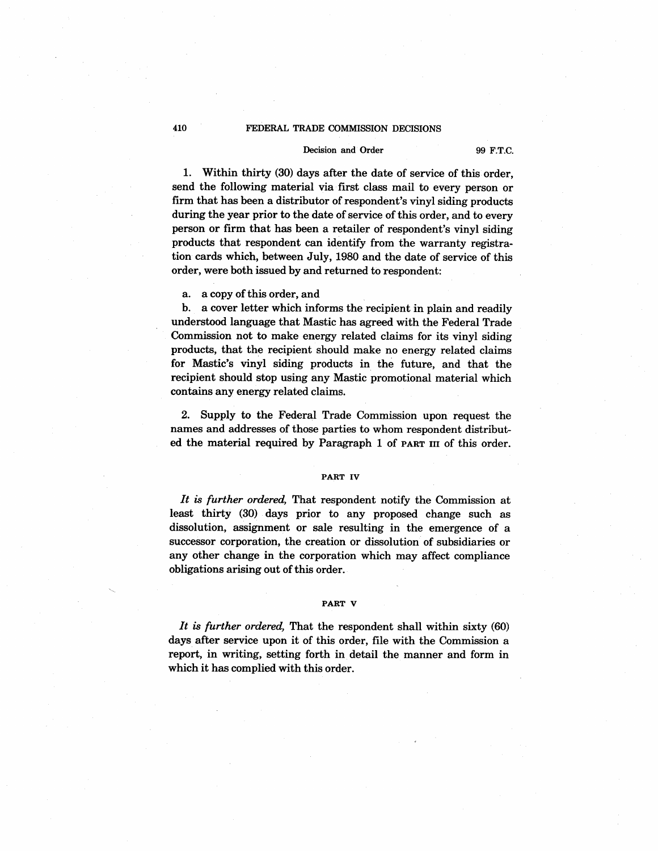#### Decision and Order 99 F.T.C.

1. Within thirty (30) days after the date of service of this order. send the following material via first class mail to every person or firm that has been a distributor of respondent's vinyl siding products during the year prior to the date of service of this order, and to every person or firm that has been a retailer of respondent's vinyl siding products that respondent can identify from the warranty registration cards which, between July, 1980 and the date of service of this order, were both issued by and returned to respondent:

a. a copy of this order, and

b. a cover letter which informs the recipient in plain and readily understood language that Mastic has agreed with the Federal Trade Commission not to make energy related claims for its vinyl siding products, that the recipient should make no energy related claims for Mastic's vinyl siding products in the future, and that the recipient should stop using any Mastic promotional material which contains any energy related claims.

2. Supply to the Federal Trade Commission upon request the names and addresses of those parties to whom respondent distributed the material required by Paragraph 1 of PART III of this order.

#### PART IV

It is further ordered, That respondent notify the Commission at least thirty (30) days prior to any proposed change such as dissolution, assignment or sale resulting in the emergence of a successor corporation, the creation or dissolution of subsidiaries or any other change in the corporation which may affect compliance obligations arising out of this order.

#### PART V

It is further ordered. That the respondent shall within sixty  $(60)$ days after service upon it of this order, file with the Commission a report, in writing, setting forth in detail the manner and form in which it has complied with this order.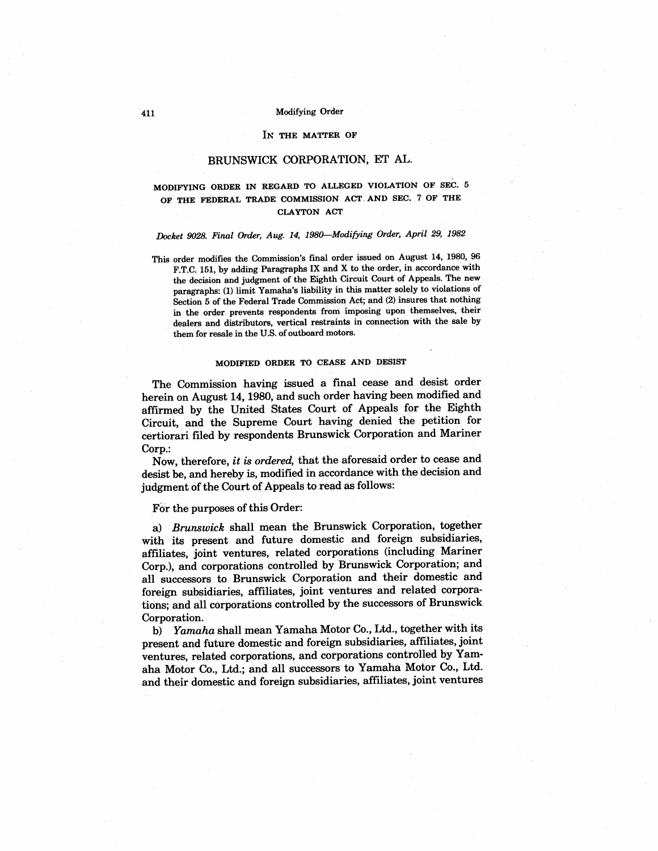# 411 Modifying Order

#### IN THE MATTER OF

# BRUNSWICK CORPORATION, ET AL.

## MODIFYING ORDER IN REGARD TO ALLEGED VIOLATION OF SEC. 5 OF THE FEDERAL TRADE COMMISSION ACT AND SEC. 7 OF THE CLAYTON ACT

# Docket 9028. Final Order, Aug. 14, 1980-Modifying Order, April 29, 1982

This order modifies the Commission's final order issued on August 14, 1980, 96 F.T.C. 151, by adding Paragraphs IX and X to the order, in accordance with the decision and judgment of the Eighth Circuit Court of Appeals. The new paragraphs: (1) limit Yamaha's liability in this matter solely to violations of Section 5 of the Federal Trade Commission Act; and (2) insures that nothing in the order prevents respondents from imposing upon themselves, their dealers and distributors, vertical restraints in connection with the sale by them for resale in the U.S. of outboard motors.

# MODIFIED ORDER TO CEASE AND DESIST

The Commission having issued a final cease and desist order herein on August 14, 1980, and such order having been modified and affrmed by the United States Court of Appeals for the Eighth Circuit, and the Supreme Court having denied the petition for certiorari fied by respondents Brunswick Corporation and Mariner Corp.

Now, therefore, it is ordered, that the aforesaid order to cease and desist be, and hereby is, modified in accordance with the decision and judgment of the Court of Appeals to read as follows:

For the purposes of this Order:

a) Brunswick shall mean the Brunswick Corporation, together with its present and future domestic and foreign subsidiaries affiiates, joint ventures, related corporations (including Mariner Corp.), and corporations controlled by Brunswick Corporation; and all successors to Brunswick Corporation and their domestic and foreign subsidiaries, affiiates, joint ventures and related corporations; and all corporations controlled by the successors of Brunswick Corporation.

b) Yamaha shall mean Yamaha Motor Co., Ltd., together with its present and future domestic and foreign subsidiaries, affiiates, joint ventures, related corporations, and corporations controlled by Yamaha Motor Co., Ltd.; and all successors to Yamaha Motor Co., Ltd. and their domestic and foreign subsidiaries, affliates, joint ventures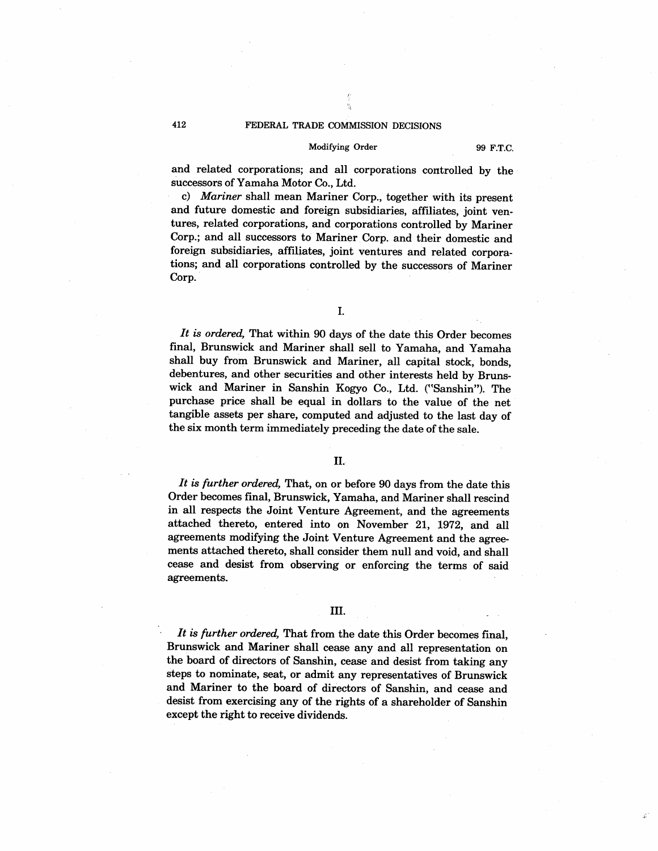#### Modifying Order 99 F.T.C.

and related corporations; and all corporations controlled by the successors of Yamaha Motor Co., Ltd.

c) Mariner shall mean Mariner Corp., together with its present and future domestic and foreign subsidiaries, affiliates, joint ventures, related corporations, and corporations controlled by Mariner Corp.; and all successors to Mariner Corp. and their domestic and foreign subsidiaries, affiliates, joint ventures and related corporations; and all corporations controlled by the successors of Mariner Corp.

# I.

It is ordered, That within 90 days of the date this Order becomes final, Brunswick and Mariner shall sell to Yamaha, and Yamaha shall buy from Brunswick and Mariner, all capital stock, bonds debentures, and other securities and other interests held by Brunswick and Mariner in Sanshin Kogyo Co., Ltd. ("Sanshin"). The purchase price shall be equal in dollars to the value of the net tangible assets per share, computed and adjusted to the last day of the six month term immediately preceding the date of the sale.

# II.

It is further ordered, That, on or before  $90$  days from the date this Order becomes final, Brunswick, Yamaha, and Mariner shall rescind in all respects the Joint Venture Agreement, and the agreements attached thereto, entered into on November 21, 1972, and all agreements modifying the Joint Venture Agreement and the agreements attached thereto, shall consider them null and void, and shall cease and desist from observing or enforcing the terms of said agreements.

# III.

It is further ordered, That from the date this Order becomes final, Brunswick and Mariner shall cease any and all representation on the board of directors of Sanshin, cease and desist from taking any steps to nominate. seat, or admit any representatives of Brunswick and Mariner to the board of directors of Sanshin, and cease and desist from exercising any of the rights of a shareholder of Sanshin except the right to receive dividends.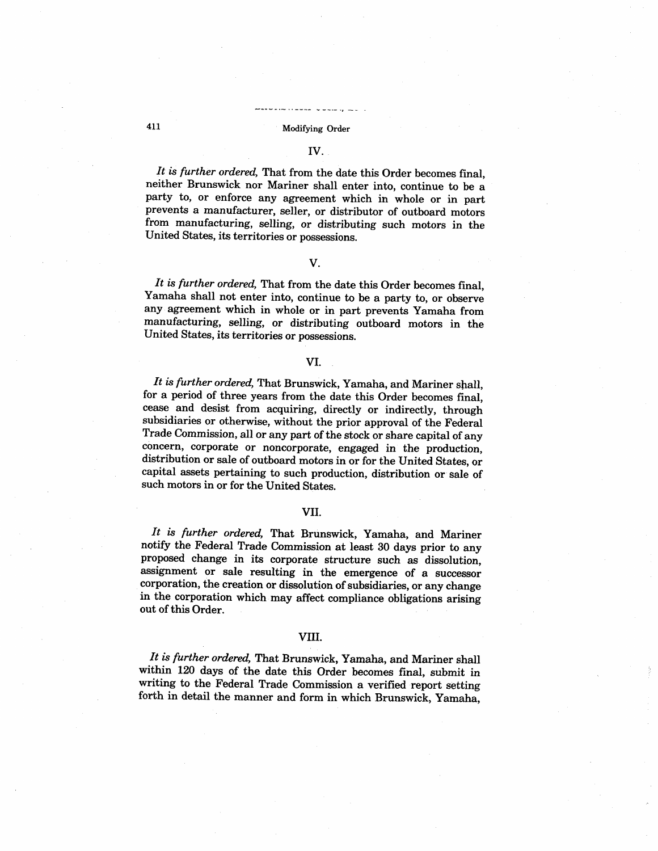# 411 Modifying Order

# IV.

It is further ordered, That from the date this Order becomes final, neither Brunswick nor Mariner shall enter into, continue to be a party to, or enforce any agreement which in whole or in part prevents a manufacturer, seller, or distributor of outboard motors from manufacturing, selling, or distributing such motors in the United States, its territories or possessions.

# V.

It is further ordered, That from the date this Order becomes final, Yamaha shall not enter into, continue to be a party to, or observe any agreement which in whole or in part prevents Yamaha from manufacturing, selling, or distributing outboard motors in the United States, its territories or possessions.

## VI.

It is further ordered, That Brunswick, Yamaha, and Mariner shall, for a period of three years from the date this Order becomes final cease and desist from acquiring, directly or indirectly, through subsidiaries or otherwise, without the prior approval of the Federal Trade Commission, all or any part of the stock or share capital of any concern, corporate or noncorporate, engaged in the production distribution or sale of outboard motors in or for the United States, or capital assets pertaining to such production, distribution or sale of such motors in or for the United States.

## VII.

It is further ordered, That Brunswick, Yamaha, and Mariner notify the Federal Trade Commission at least 30 days prior to any proposed change in its corporate structure such as dissolution assignment or sale resulting in the emergence of a successor corporation, the creation or dissolution of subsidiaries, or any change in the corporation which may affect compliance obligations arising out of this Order.

#### VII.

It is further ordered, That Brunswick, Yamaha, and Mariner shall within 120 days of the date this Order becomes final, submit in writing to the Federal Trade Commission a verified report setting forth in detail the manner and form in which Brunswick, Yamaha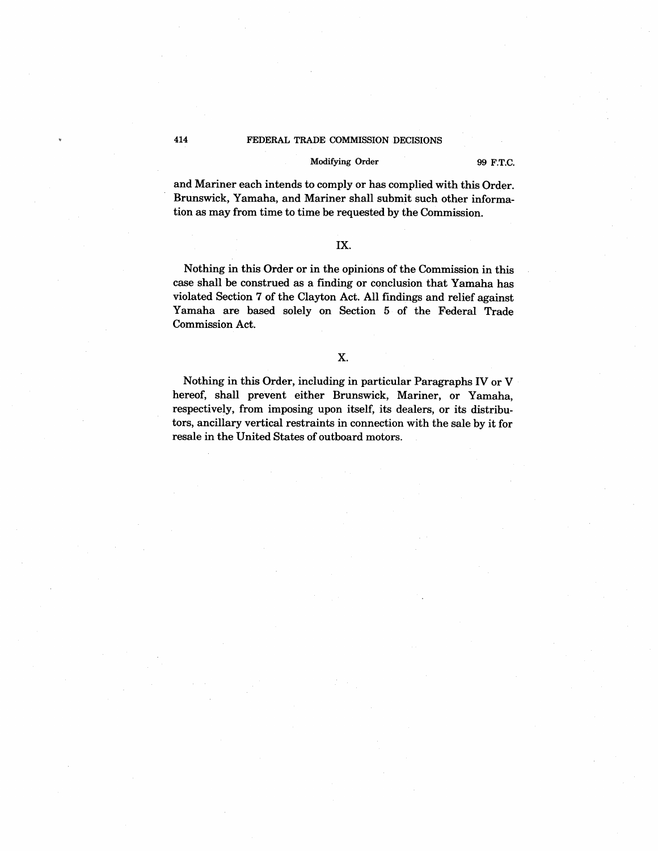## Modifying Order 99 F.T.C.

and Mariner each intends to comply or has complied with this Order. Brunswick, Yamaha, and Mariner shall submit such other information as may from time to time be requested by the Commission.

# IX.

Nothing in this Order or in the opinions of the Commission in this case shall be construed as a finding or conclusion that Yamaha has violated Section 7 of the Clayton Act. All findings and relief against Yamaha are based solely on Section 5 of the Federal Trade Commission Act.

# X.

Nothing in this Order, including in particular Paragraphs IV or V hereof, shall prevent either Brunswick, Mariner, or Yamaha respectively, from imposing upon itself, its dealers, or its distributors, ancilary vertical restraints in connection with the sale by it for resale in the United States of outboard motors.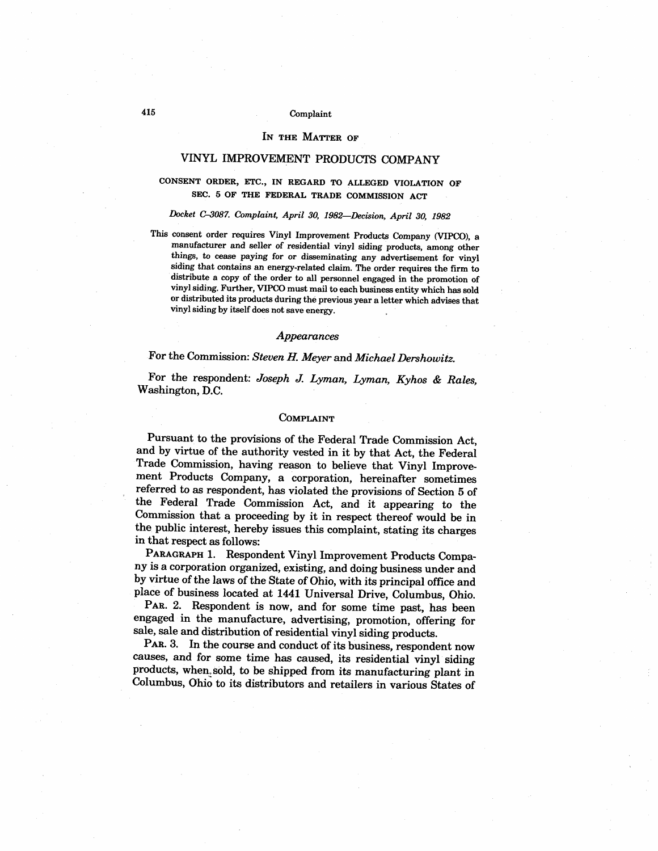## IN THE MATTER OF

# VINYL IMPROVEMENT PRODUCTS COMPANY

# CONSENT ORDER, ETC. , IN REGARD TO ALLEGED VIOLATION OF SEC. 5 OF THE FEDERAL TRADE COMMISSION ACT

# Doket C-087. Complaint, April 30, 1982-Decision, April 30, 1982

This consent order requires Vinyl Improvement Products Company (VIPCO), a manufacturer and seller of residential vinyl siding products, among other things, to cease paying for or disseminating any advertisement for vinyl siding that contains an energy related claim. The order requires the firm to distribute a copy of the order to all personnel engaged in the promotion of vinyl siding. Further, VIPCO must mail to each business entity which has sold or distributed its products during the previous year a letter which advises that vinyl siding by itself does not save energy.

#### Appearances

# For the Commission: Steven H. Meyer and Michael Dershowitz.

For the respondent: Joseph J. Lyman, Lyman, Kyhos & Rales Washington, D.

#### COMPLAINT

Pursuant to the provisions of the Federal Trade Commission Act and by virtue of the authority vested in it by that Act, the Federal Trade Commission, having reason to believe that Vinyl Improvement Products Company, a corporation, hereinafter sometimes referred to as respondent, has violated the provisions of Section 5 of the Federal Trade Commission Act, and it appearing to the Commission that a proceeding by it in respect thereof would be in the public interest, hereby issues this complaint, stating its charges in that respect as follows:

PARAGRAPH 1. Respondent Vinyl Improvement Products Company is a corporation organized, existing, and doing business under and by virtue of the laws of the State of Ohio, with its principal office and place of business located at I441 Universal Drive, Columbus, Ohio.

PAR. 2. Respondent is now, and for some time past, has been engaged in the manufacture, advertising, promotion, offering for sale, sale and distribution of residential vinyl siding products.

PAR. 3. In the course and conduct of its business, respondent now causes, and for some time has caused, its residential vinyl siding products, when. sold, to be shipped from its manufacturing plant in Columbus, Ohio to its distributors and retailers in various States of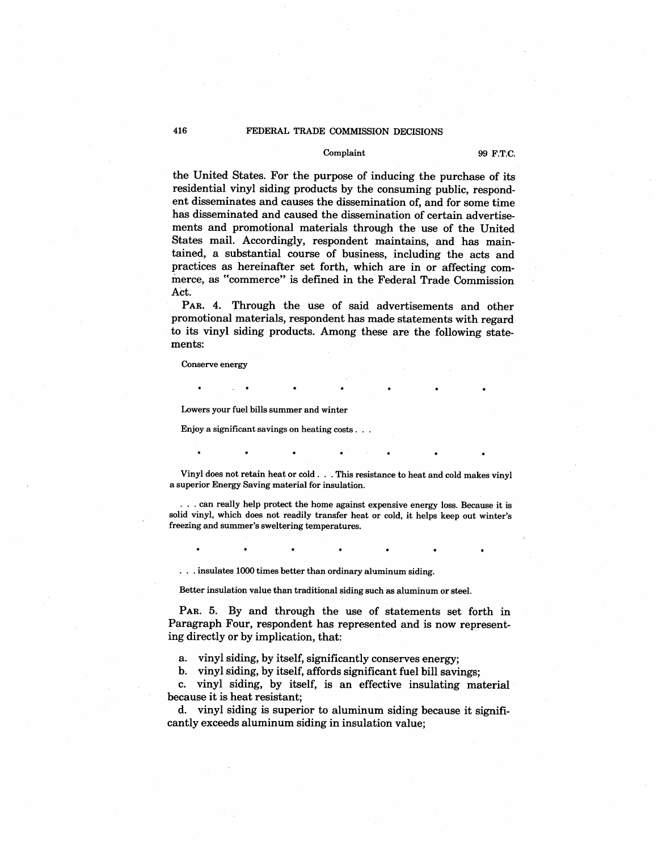#### Complaint 99 F.T.C.

the United States. For the purpose of inducing the purchase of its residential vinyl siding products by the consuming public, respondent disseminates and causes the dissemination of, and for some time has disseminated and caused the dissemination of certain advertisements and promotional materials through the use of the United States mail. Accordingly, respondent maintains, and has maintained, a substantial course of business, including the acts and practices as hereinafter set forth, which are in or affecting commerce, as "commerce" is defined in the Federal Trade Commission Act.

PAR. 4. Through the use of said advertisements and other promotional materials, respondent has made statements with regard to its vinyl siding products. Among these are the following statements:

Conserve energy

Lowers your fuel bils summer and winter

Enjoy a significant savings on heating costs.

Vinyl does not retain heat or cold. This resistance to heat and cold makes vinyl a superior Energy Saving material for insulation.

can really help protet the home against expensive energy loss. Because it is solid vinyl, which does not readily transfer heat or cold, it helps keep out winter's freezing and summer's sweltering temperatures.

... insulates 1000 times better than ordinary aluminum siding.

Better insulation value than traditional siding such as aluminum or steel.

PAR. 5. By and through the use of statements set forth in Paragraph Four, respondent has represented and is now representing directly or by implication, that:

a. vinyl siding, by itself, significantly conserves energy;

b. vinyl siding, by itself, affords significant fuel bill savings;

c. vinyl siding, by itself, is an effective insulating material because it is heat resistant;

d. vinyl siding is superior to aluminum siding because it significantly exceeds aluminum siding in insulation value;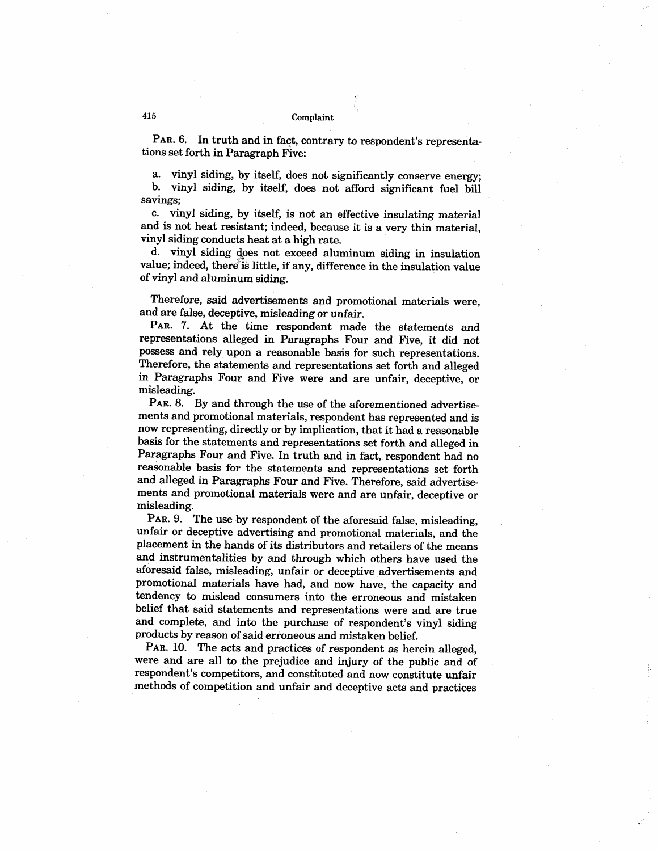PAR. 6. In truth and in fact, contrary to respondent's representations set forth in Paragraph Five:

a. vinyl siding, by itself, does not significantly conserve energy; vinyl siding, by itself, does not afford significant fuel bill savings;

c. vinyl siding, by itself, is not an effective insulating material and is not heat resistant; indeed, because it is a very thin material vinyl siding conducts heat at a high rate.

d. vinyl siding does not exceed aluminum siding in insulation value; indeed, there is little, if any, difference in the insulation value of vinyl and aluminum siding.

Therefore, said advertisements and promotional materials were, and are false, deceptive, misleading or unfair.

PAR. 7. At the time respondent made the statements and representations alleged in Paragraphs Four and Five, it did not possess and rely upon a reasonable basis for such representations. Therefore, the statements and representations set forth and alleged in Paragraphs Four and Five were and are unfair, deceptive, or misleading.

PAR. 8. By and through the use of the aforementioned advertisements and promotional materials, respondent has represented and is now representing, directly or by implication, that it had a reasonable basis for the statements and representations set forth and alleged in Paragraphs Four and Five. In truth and in fact, respondent had no reasonable basis for the statements and representations set forth and alleged in Paragraphs Four and Five. Therefore, said advertisements and promotional materials were and are unfair, deceptive or misleading.

PAR. 9. The use by respondent of the aforesaid false, misleading, unfair or deceptive advertising and promotional materials, and the placement in the hands of its distributors and retailers of the means and instrumentalities by and through which others have used the aforesaid false, misleading, unfair or deceptive advertisements and promotional materials have had, and now have, the capacity and tendency to mislead consumers into the erroneous and mistaken belief that said statements and representations were and are true and complete, and into the purchase of respondent's vinyl siding products by reason of said erroneous and mistaken belief.

PAR. 10. The acts and practices of respondent as herein alleged. were and are all to the prejudice and injury of the public and of respondent's competitors, and constituted and now constitute unfair methods of competition and unfair and deceptive acts and practices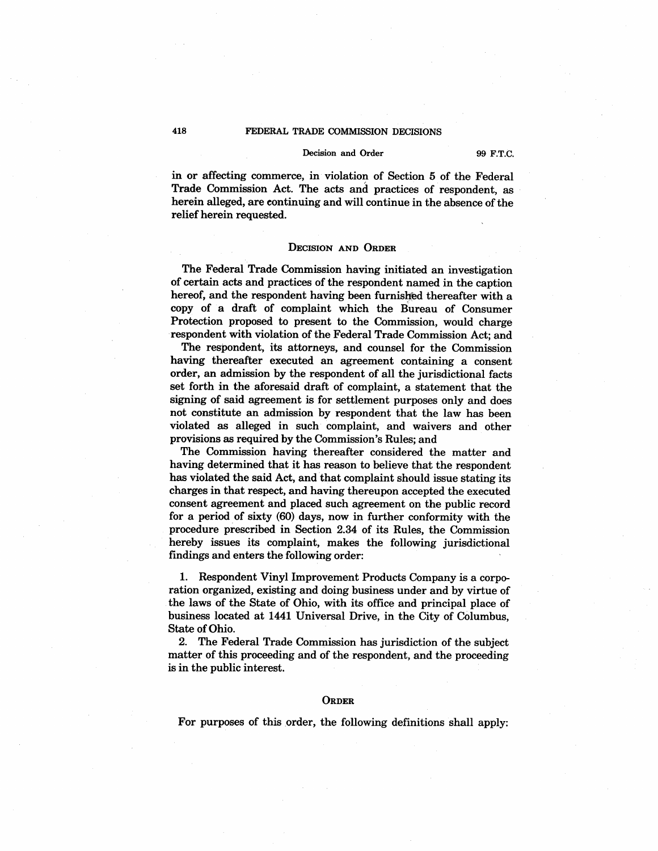#### Decision and Order 99 F.T.C.

in or affecting commerce, in violation of Section 5 of the Federal Trade Commission Act. The acts and practices of respondent, as herein alleged, are continuing and will continue in the absence of the relief herein requested.

## DECISION AND ORDER

The Federal Trade Commission having initiated an investigation of certain acts and practices of the respondent named in the caption hereof, and the respondent having been furnished thereafter with a copy of a draft of complaint which the Bureau of Consumer Protection proposed to present to the Commission, would charge respondent with violation of the Federal Trade Commission Act; and

The respondent, its attorneys, and counsel for the Commission having thereafter executed an agreement containing a consent order, an admission by the respondent of all the jurisdictional facts set forth in the aforesaid draft of complaint, a statement that the signing of said agreement is for settlement purposes only and does not constitute an admission by respondent that the law has been violated as alleged in such complaint, and waivers and other provisions as required by the Commission's Rules; and

The Commission having thereafter considered the matter and having determined that it has reason to believe that the respondent has violated the said Act, and that complaint should issue stating its charges in that respect, and having thereupon accepted the executed consent agreement and placed such agreement on the public record for a period of sixty (60) days, now in further conformity with the procedure prescribed in Section 2.34 of its Rules, the Commission hereby issues its complaint, makes the following jurisdictional findings and enters the following order:

1. Respondent Vinyl Improvement Products Company is a corporation organized, existing and doing business under and by virtue of the laws of the State of Ohio, with its office and principal place of business located at 144I Universal Drive, in the City of Columbus State of Ohio.

2. The Federal Trade Commission has jurisdiction of the subject matter of this proceeding and of the respondent, and the proceeding is in the public interest.

#### **ORDER**

For purposes of this order, the following definitions shall apply: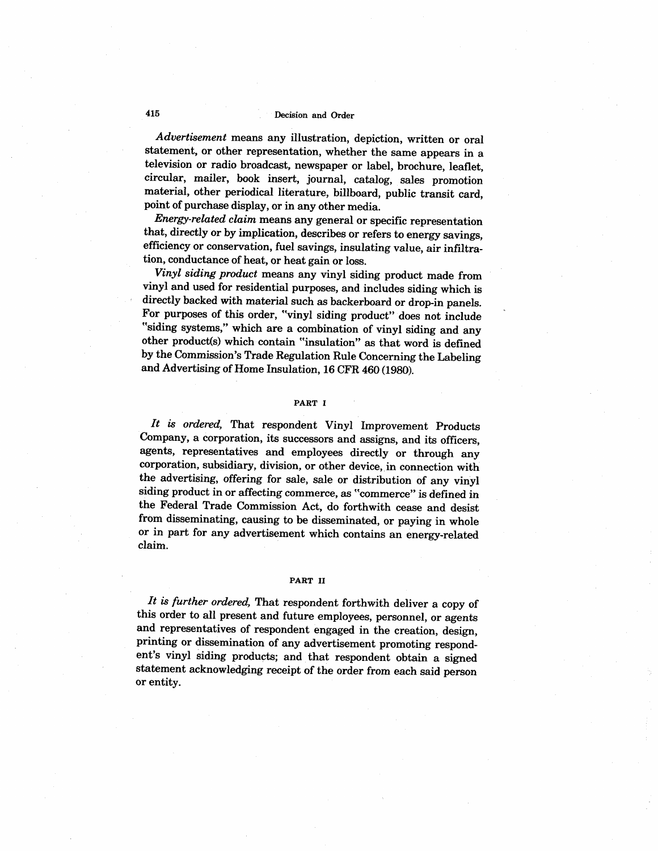# 415 Deision and Order

Advertisement means any illustration, depiction, written or oral statement, or other representation, whether the same appears in a television or radio broadcast, newspaper or label, brochure, leaflet circular, mailer, book insert, journal, catalog, sales promotion material, other periodical literature, bilboard, public transit card point of purchase display, or in any other media.

Energy-related claim means any general or specific representation that, directly or by implication, describes or refers to energy savings efficiency or conservation, fuel savings, insulating value, air infiltration, conductance of heat, or heat gain or loss.

Vinyl siding product means any vinyl siding product made from vinyl and used for residential purposes, and includes siding which is directly backed with material such as backerboard or drop-in panels. For purposes of this order, "vinyl siding product" does not include "siding systems," which are a combination of vinyl siding and any other product(s) which contain "insulation" as that word is defined by the Commission's Trade Regulation Rule Concerning the Labeling and Advertising of Home Insulation, 16 CFR 460 (I980).

#### PART I

It is ordered, That respondent Vinyl Improvement Products Company, a corporation, its successors and assigns, and its officers agents, representatives and employees directly or through any corporation, subsidiary, division, or other device, in connection with the advertising, offering for sale, sale or distribution of any vinyl siding product in or affecting commerce, as "commerce" is defined in the Federal Trade Commission Act, do forthwith cease and desist from disseminating, causing to be disseminated, or paying in whole or in part for any advertisement which contains an energy-related claim.

#### PART II

It is further ordered. That respondent forthwith deliver a copy of this order to all present and future employees, personnel, or agents and representatives of respondent engaged in the creation, design, printing or dissemination of any advertisement promoting respondent's vinyl siding products; and that respondent obtain a signed statement acknowledging receipt of the order from each said person or entity.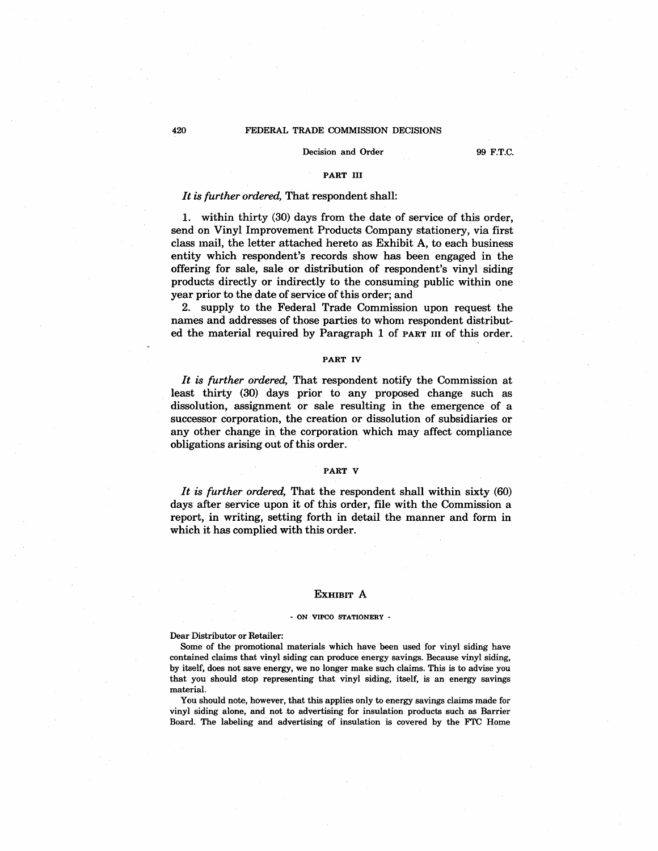#### Decision and Order 99 F.T.C.

## PART III

## It is further ordered. That respondent shall:

1. within thirty (30) days from the date of service of this order send on Vinyl Improvement Products Company stationery, via first class mail, the letter attached hereto as Exhibit A, to each business entity which respondent's records show has been engaged in the offering for sale, sale or distribution of respondent's vinyl siding products directly or indirectly to the consuming public within one year prior to the date of service of this order; and

2. supply to the Federal Trade Commission upon request the names and addresses of those parties to whom respondent distributed the material required by Paragraph 1 of PART II of this order.

#### PART IV

It is further ordered. That respondent notify the Commission at least thirty (30) days prior to any proposed change such as dissolution. assignment or sale resulting in the emergence of a successor corporation, the creation or dissolution of subsidiaries or any other change in the corporation which may affect compliance obligations arising out of this order.

#### PART V

It is further ordered. That the respondent shall within sixty  $(60)$ days after service upon it of this order, file with the Commission a report, in writing, setting forth in detail the manner and form in which it has complied with this order.

#### EXHIBIT A

#### - ON VIPCO STATIONERY -

Dear Distributor or Retailer:

Some of the promotional materials which have been used for vinyl siding have contained claims that vinyl siding can produce energy savings. Because vinyl siding, by itself, does not save energy, we no longer make such claims. This is to advise you that you should stop representing that vinyl siding, itself, is an energy savings material.

You should note, however, that this applies only to energy savings claims made for vinyl siding alone, and not to advertising for insulation products such as Barrier Board. The labeling and advertising of insulation is covered by the FTC Home